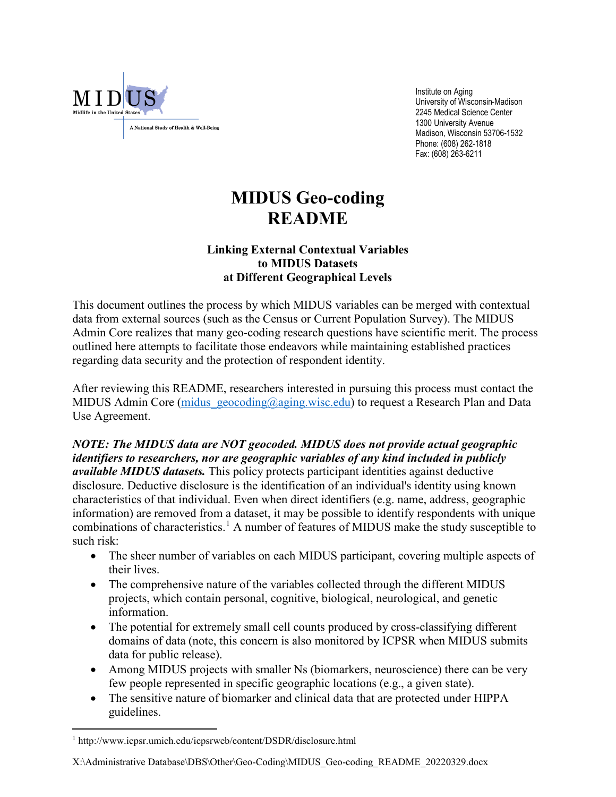

 Institute on Aging University of Wisconsin-Madison 2245 Medical Science Center 1300 University Avenue Madison, Wisconsin 53706-1532 Phone: (608) 262-1818 Fax: (608) 263-6211

## **MIDUS Geo-coding README**

## **Linking External Contextual Variables to MIDUS Datasets at Different Geographical Levels**

This document outlines the process by which MIDUS variables can be merged with contextual data from external sources (such as the Census or Current Population Survey). The MIDUS Admin Core realizes that many geo-coding research questions have scientific merit. The process outlined here attempts to facilitate those endeavors while maintaining established practices regarding data security and the protection of respondent identity.

After reviewing this README, researchers interested in pursuing this process must contact the MIDUS Admin Core (midus geocoding@aging.wisc.edu) to request a Research Plan and Data Use Agreement.

## *NOTE: The MIDUS data are NOT geocoded. MIDUS does not provide actual geographic identifiers to researchers, nor are geographic variables of any kind included in publicly available MIDUS datasets.* This policy protects participant identities against deductive disclosure. Deductive disclosure is the identification of an individual's identity using known

characteristics of that individual. Even when direct identifiers (e.g. name, address, geographic information) are removed from a dataset, it may be possible to identify respondents with unique combinations of characteristics.<sup>[1](#page-0-0)</sup> A number of features of MIDUS make the study susceptible to such risk:

- The sheer number of variables on each MIDUS participant, covering multiple aspects of their lives.
- The comprehensive nature of the variables collected through the different MIDUS projects, which contain personal, cognitive, biological, neurological, and genetic information.
- The potential for extremely small cell counts produced by cross-classifying different domains of data (note, this concern is also monitored by ICPSR when MIDUS submits data for public release).
- Among MIDUS projects with smaller Ns (biomarkers, neuroscience) there can be very few people represented in specific geographic locations (e.g., a given state).
- The sensitive nature of biomarker and clinical data that are protected under HIPPA guidelines.

 $\overline{a}$ 

<span id="page-0-0"></span><sup>1</sup> http://www.icpsr.umich.edu/icpsrweb/content/DSDR/disclosure.html

X:\Administrative Database\DBS\Other\Geo-Coding\MIDUS\_Geo-coding\_README\_20220329.docx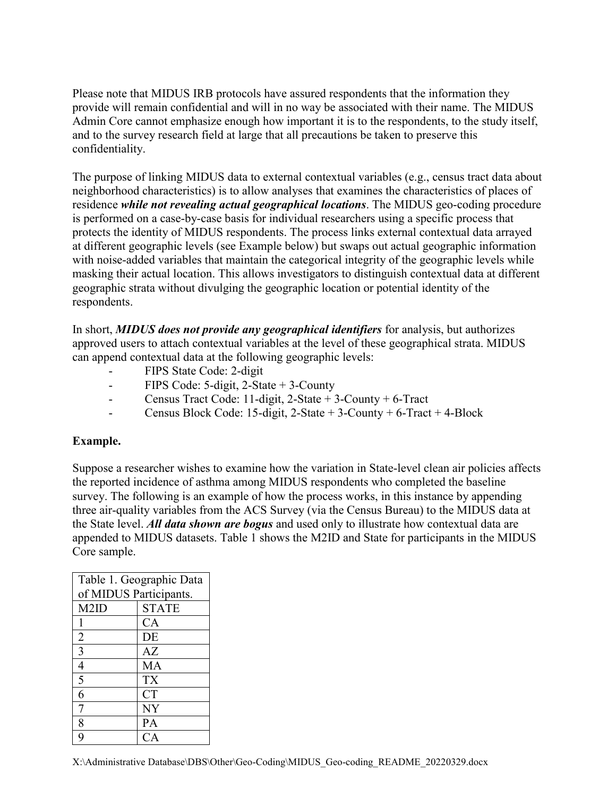Please note that MIDUS IRB protocols have assured respondents that the information they provide will remain confidential and will in no way be associated with their name. The MIDUS Admin Core cannot emphasize enough how important it is to the respondents, to the study itself, and to the survey research field at large that all precautions be taken to preserve this confidentiality.

The purpose of linking MIDUS data to external contextual variables (e.g., census tract data about neighborhood characteristics) is to allow analyses that examines the characteristics of places of residence *while not revealing actual geographical locations*. The MIDUS geo-coding procedure is performed on a case-by-case basis for individual researchers using a specific process that protects the identity of MIDUS respondents. The process links external contextual data arrayed at different geographic levels (see Example below) but swaps out actual geographic information with noise-added variables that maintain the categorical integrity of the geographic levels while masking their actual location. This allows investigators to distinguish contextual data at different geographic strata without divulging the geographic location or potential identity of the respondents.

In short, *MIDUS does not provide any geographical identifiers* for analysis, but authorizes approved users to attach contextual variables at the level of these geographical strata. MIDUS can append contextual data at the following geographic levels:

- FIPS State Code: 2-digit
- FIPS Code: 5-digit, 2-State + 3-County
- Census Tract Code: 11-digit, 2-State + 3-County + 6-Tract
- Census Block Code: 15-digit,  $2$ -State + 3-County + 6-Tract + 4-Block

## **Example.**

Suppose a researcher wishes to examine how the variation in State-level clean air policies affects the reported incidence of asthma among MIDUS respondents who completed the baseline survey. The following is an example of how the process works, in this instance by appending three air-quality variables from the ACS Survey (via the Census Bureau) to the MIDUS data at the State level. *All data shown are bogus* and used only to illustrate how contextual data are appended to MIDUS datasets. Table 1 shows the M2ID and State for participants in the MIDUS Core sample.

| Table 1. Geographic Data |              |  |  |  |
|--------------------------|--------------|--|--|--|
| of MIDUS Participants.   |              |  |  |  |
| M <sub>2ID</sub>         | <b>STATE</b> |  |  |  |
|                          | CA           |  |  |  |
| $\overline{2}$           | DE           |  |  |  |
| $\overline{3}$           | AZ           |  |  |  |
| $\overline{4}$           | MA           |  |  |  |
| 5                        | <b>TX</b>    |  |  |  |
| 6                        | <b>CT</b>    |  |  |  |
| 7                        | NY           |  |  |  |
| 8                        | <b>PA</b>    |  |  |  |
| q                        | CA           |  |  |  |